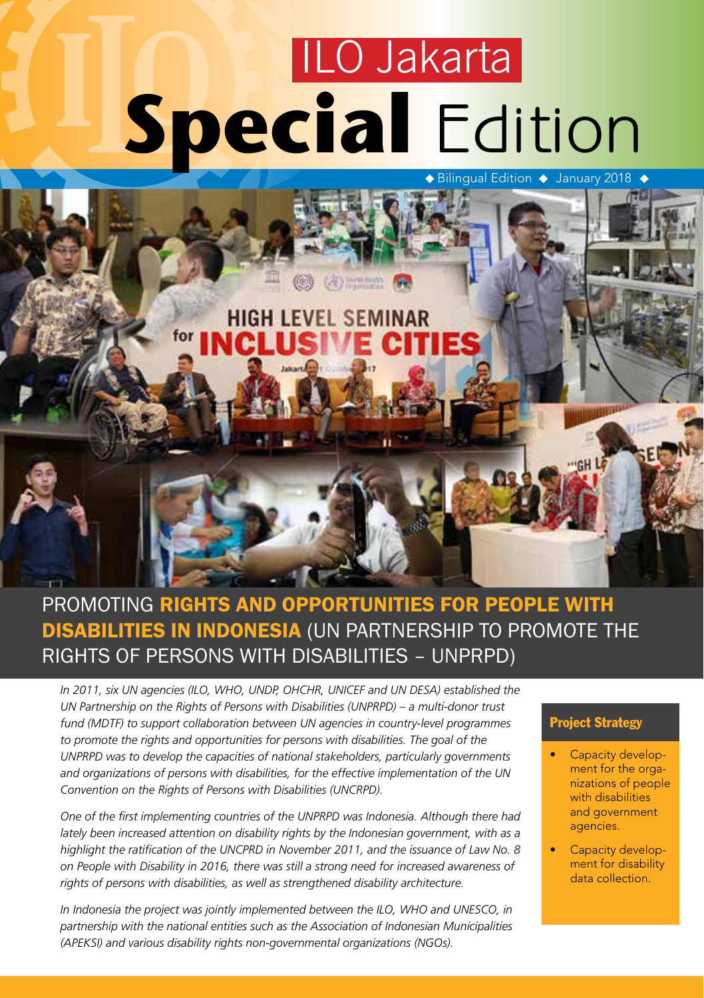# **Special** Edition ILO Jakarta



### PROMOTING RIGHTS AND OPPORTUNITIES FOR PEOPLE WITH DISABILITIES IN INDONESIA (UN PARTNERSHIP TO PROMOTE THE RIGHTS OF PERSONS WITH DISABILITIES – UNPRPD)

*In 2011, six UN agencies (ILO, WHO, UNDP, OHCHR, UNICEF and UN DESA) established the UN Partnership on the Rights of Persons with Disabilities (UNPRPD) – a multi-donor trust fund (MDTF) to support collaboration between UN agencies in country-level programmes*  to promote the rights and opportunities for persons with disabilities. The goal of the *UNPRPD was to develop the capacities of national stakeholders, particularly governments and organizations of persons with disabilities, for the effective implementation of the UN Convention on the Rights of Persons with Disabilities (UNCRPD).* 

*One of the first implementing countries of the UNPRPD was Indonesia. Although there had lately been increased attention on disability rights by the Indonesian government, with as a highlight the ratification of the UNCPRD in November 2011, and the issuance of Law No. 8 on People with Disability in 2016, there was still a strong need for increased awareness of rights of persons with disabilities, as well as strengthened disability architecture.* 

*In Indonesia the project was jointly implemented between the ILO, WHO and UNESCO, in partnership with the national entities such as the Association of Indonesian Municipalities (APEKSI) and various disability rights non-governmental organizations (NGOs).* 

#### Project Strategy

- Capacity development for the organizations of people with disabilities and government agencies.
- Capacity development for disability data collection.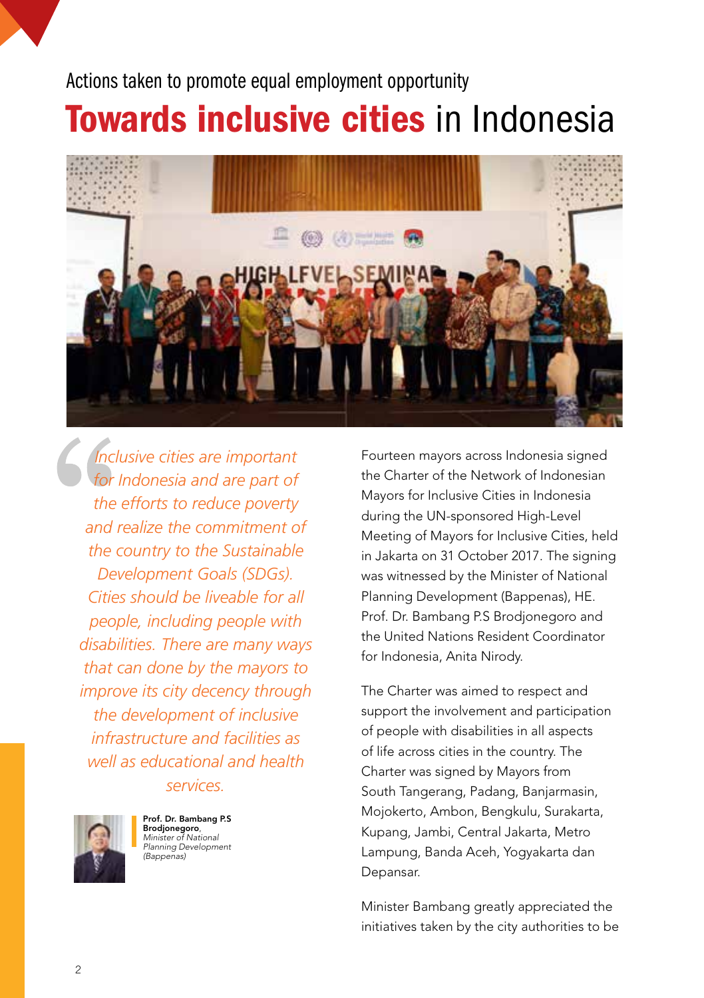### Actions taken to promote equal employment opportunity

# Towards inclusive cities in Indonesia



*Inclusive cities are important for Indonesia and are part of the efforts to reduce poverty and realize the commitment of the country to the Sustainable Development Goals (SDGs). Cities should be liveable for all people, including people with disabilities. There are many ways that can done by the mayors to improve its city decency through the development of inclusive infrastructure and facilities as well as educational and health services.*



Prof. Dr. Bambang P.S Brodjonegoro, *Minister of National Planning Development (Bappenas)*

Fourteen mayors across Indonesia signed the Charter of the Network of Indonesian Mayors for Inclusive Cities in Indonesia during the UN-sponsored High-Level Meeting of Mayors for Inclusive Cities, held in Jakarta on 31 October 2017. The signing was witnessed by the Minister of National Planning Development (Bappenas), HE. Prof. Dr. Bambang P.S Brodjonegoro and the United Nations Resident Coordinator for Indonesia, Anita Nirody.

The Charter was aimed to respect and support the involvement and participation of people with disabilities in all aspects of life across cities in the country. The Charter was signed by Mayors from South Tangerang, Padang, Banjarmasin, Mojokerto, Ambon, Bengkulu, Surakarta, Kupang, Jambi, Central Jakarta, Metro Lampung, Banda Aceh, Yogyakarta dan Depansar.

Minister Bambang greatly appreciated the initiatives taken by the city authorities to be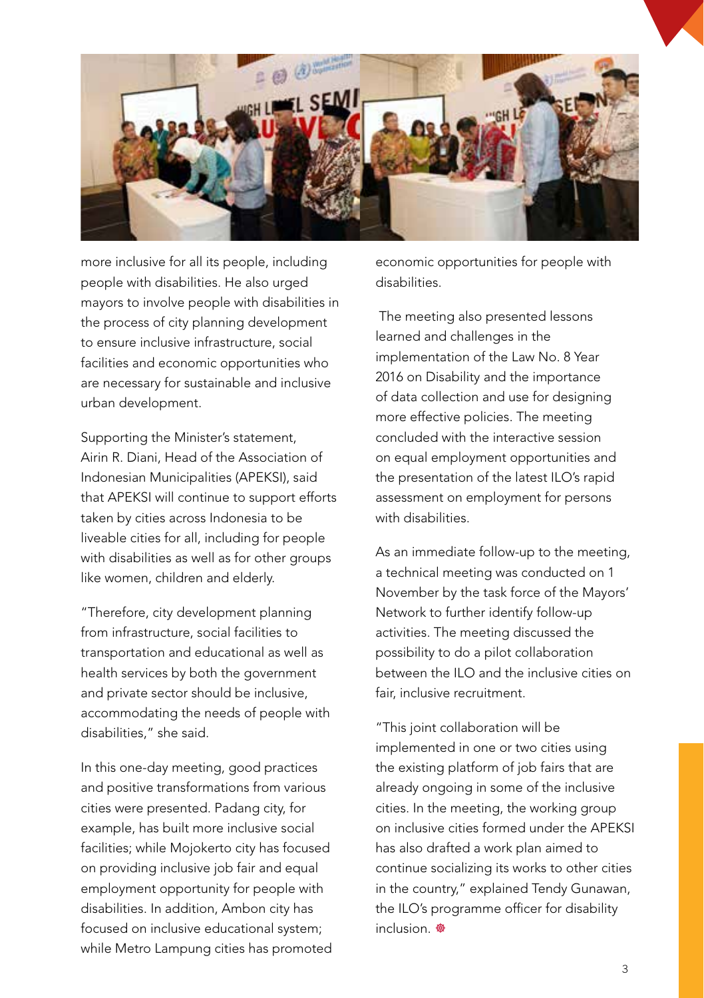

more inclusive for all its people, including people with disabilities. He also urged mayors to involve people with disabilities in the process of city planning development to ensure inclusive infrastructure, social facilities and economic opportunities who are necessary for sustainable and inclusive urban development.

Supporting the Minister's statement, Airin R. Diani, Head of the Association of Indonesian Municipalities (APEKSI), said that APEKSI will continue to support efforts taken by cities across Indonesia to be liveable cities for all, including for people with disabilities as well as for other groups like women, children and elderly.

"Therefore, city development planning from infrastructure, social facilities to transportation and educational as well as health services by both the government and private sector should be inclusive, accommodating the needs of people with disabilities," she said.

In this one-day meeting, good practices and positive transformations from various cities were presented. Padang city, for example, has built more inclusive social facilities; while Mojokerto city has focused on providing inclusive job fair and equal employment opportunity for people with disabilities. In addition, Ambon city has focused on inclusive educational system; while Metro Lampung cities has promoted economic opportunities for people with disabilities.

 The meeting also presented lessons learned and challenges in the implementation of the Law No. 8 Year 2016 on Disability and the importance of data collection and use for designing more effective policies. The meeting concluded with the interactive session on equal employment opportunities and the presentation of the latest ILO's rapid assessment on employment for persons with disabilities.

As an immediate follow-up to the meeting, a technical meeting was conducted on 1 November by the task force of the Mayors' Network to further identify follow-up activities. The meeting discussed the possibility to do a pilot collaboration between the ILO and the inclusive cities on fair, inclusive recruitment.

"This joint collaboration will be implemented in one or two cities using the existing platform of job fairs that are already ongoing in some of the inclusive cities. In the meeting, the working group on inclusive cities formed under the APEKSI has also drafted a work plan aimed to continue socializing its works to other cities in the country," explained Tendy Gunawan, the ILO's programme officer for disability  $inclusion$ .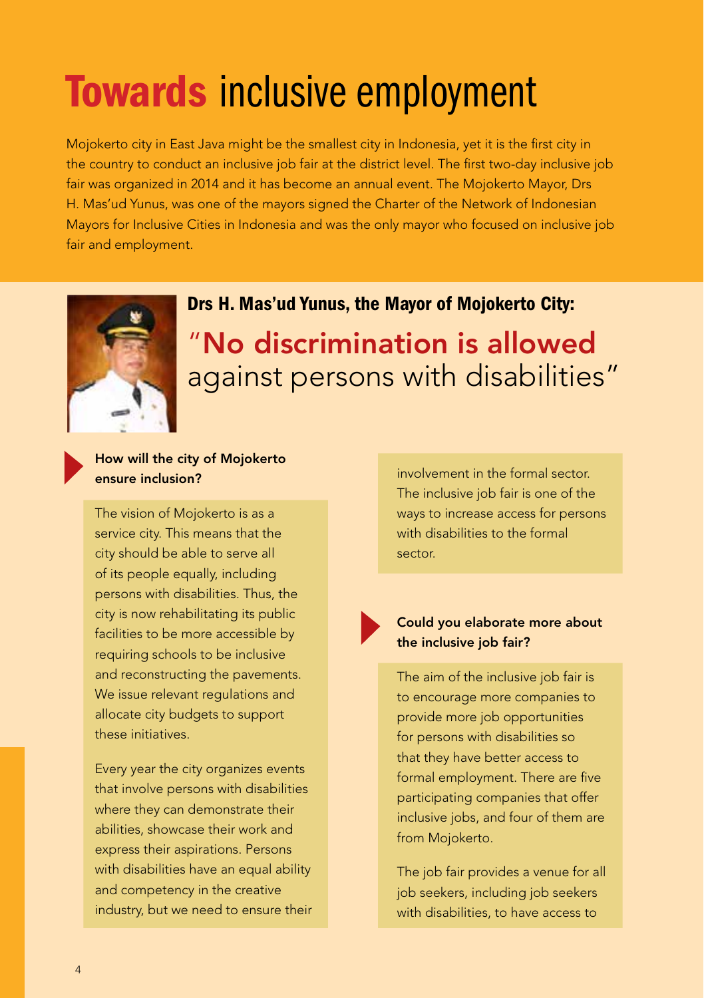# Towards inclusive employment

Mojokerto city in East Java might be the smallest city in Indonesia, yet it is the first city in the country to conduct an inclusive job fair at the district level. The first two-day inclusive job fair was organized in 2014 and it has become an annual event. The Mojokerto Mayor, Drs H. Mas'ud Yunus, was one of the mayors signed the Charter of the Network of Indonesian Mayors for Inclusive Cities in Indonesia and was the only mayor who focused on inclusive job fair and employment.



### Drs H. Mas'ud Yunus, the Mayor of Mojokerto City: "No discrimination is allowed against persons with disabilities"

#### How will the city of Mojokerto ensure inclusion?

The vision of Mojokerto is as a service city. This means that the city should be able to serve all of its people equally, including persons with disabilities. Thus, the city is now rehabilitating its public facilities to be more accessible by requiring schools to be inclusive and reconstructing the pavements. We issue relevant regulations and allocate city budgets to support these initiatives.

Every year the city organizes events that involve persons with disabilities where they can demonstrate their abilities, showcase their work and express their aspirations. Persons with disabilities have an equal ability and competency in the creative industry, but we need to ensure their

involvement in the formal sector. The inclusive job fair is one of the ways to increase access for persons with disabilities to the formal sector.

#### Could you elaborate more about the inclusive job fair?

The aim of the inclusive job fair is to encourage more companies to provide more job opportunities for persons with disabilities so that they have better access to formal employment. There are five participating companies that offer inclusive jobs, and four of them are from Mojokerto.

The job fair provides a venue for all job seekers, including job seekers with disabilities, to have access to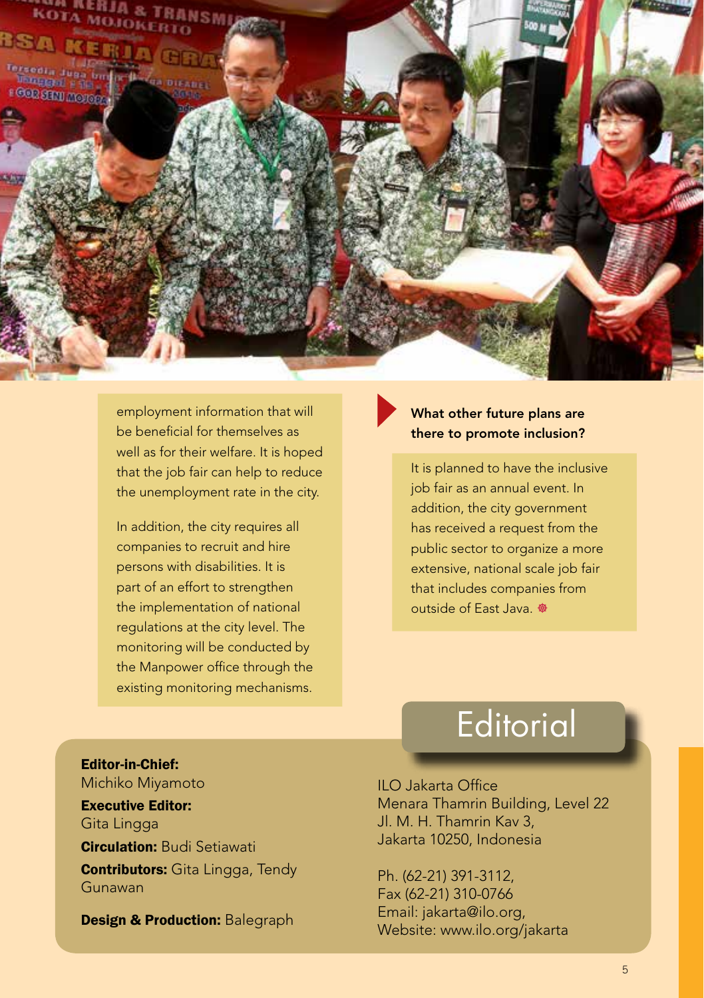

employment information that will be beneficial for themselves as well as for their welfare. It is hoped that the job fair can help to reduce the unemployment rate in the city.

In addition, the city requires all companies to recruit and hire persons with disabilities. It is part of an effort to strengthen the implementation of national regulations at the city level. The monitoring will be conducted by the Manpower office through the existing monitoring mechanisms.

#### What other future plans are there to promote inclusion?

It is planned to have the inclusive job fair as an annual event. In addition, the city government has received a request from the public sector to organize a more extensive, national scale job fair that includes companies from outside of East Java. <sup>®</sup>

# **Editorial**

Editor-in-Chief: Michiko Miyamoto Executive Editor: Gita Lingga **Circulation: Budi Setiawati Contributors:** Gita Lingga, Tendy Gunawan

Design & Production: Balegraph

ILO Jakarta Office Menara Thamrin Building, Level 22 Jl. M. H. Thamrin Kav 3, Jakarta 10250, Indonesia

Ph. (62-21) 391-3112, Fax (62-21) 310-0766 Email: jakarta@ilo.org, Website: www.ilo.org/jakarta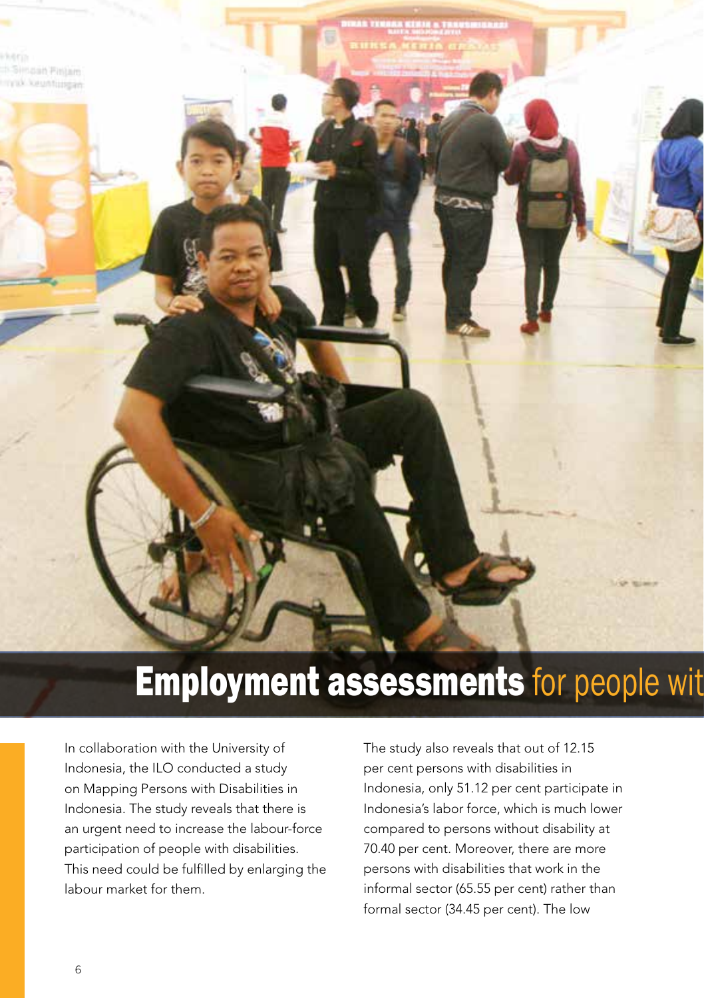# **Employment assessments for people with disabilities**

In collaboration with the University of Indonesia, the ILO conducted a study on Mapping Persons with Disabilities in Indonesia. The study reveals that there is an urgent need to increase the labour-force participation of people with disabilities. This need could be fulfilled by enlarging the labour market for them.

The study also reveals that out of 12.15 per cent persons with disabilities in Indonesia, only 51.12 per cent participate in Indonesia's labor force, which is much lower compared to persons without disability at 70.40 per cent. Moreover, there are more persons with disabilities that work in the informal sector (65.55 per cent) rather than formal sector (34.45 per cent). The low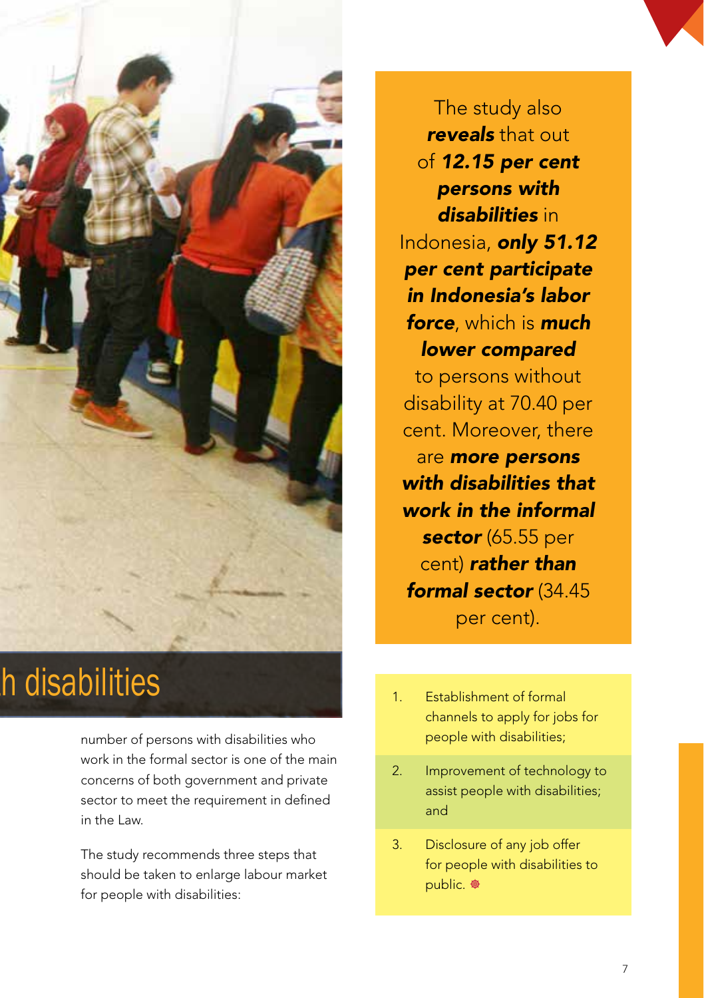

# **h** disabilities

number of persons with disabilities who work in the formal sector is one of the main concerns of both government and private sector to meet the requirement in defined in the Law.

The study recommends three steps that should be taken to enlarge labour market for people with disabilities:

The study also *reveals* that out of *12.15 per cent persons with disabilities* in Indonesia, *only 51.12 per cent participate in Indonesia's labor force*, which is *much lower compared* 

to persons without disability at 70.40 per cent. Moreover, there are *more persons with disabilities that work in the informal sector* (65.55 per cent) *rather than formal sector* (34.45

per cent).

- 1. Establishment of formal channels to apply for jobs for people with disabilities;
- 2. Improvement of technology to assist people with disabilities; and
- 3. Disclosure of any job offer for people with disabilities to public. <sup>®</sup>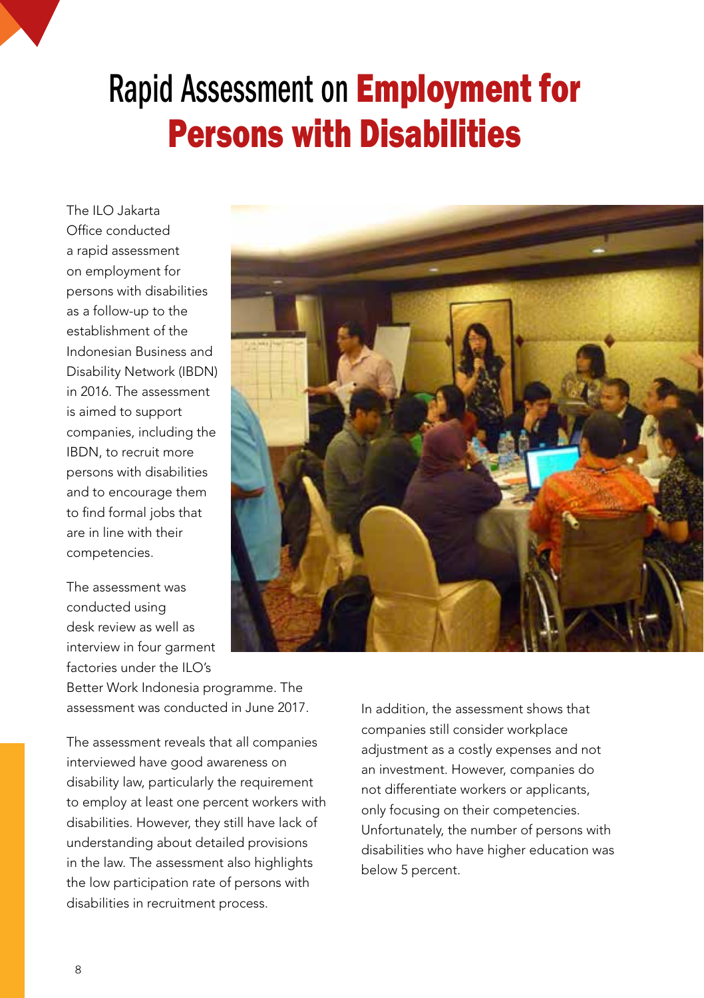# Rapid Assessment on Employment for Persons with Disabilities

The ILO Jakarta Office conducted a rapid assessment on employment for persons with disabilities as a follow-up to the establishment of the Indonesian Business and Disability Network (IBDN) in 2016. The assessment is aimed to support companies, including the IBDN, to recruit more persons with disabilities and to encourage them to find formal jobs that are in line with their competencies.

The assessment was conducted using desk review as well as interview in four garment factories under the ILO's

Better Work Indonesia programme. The assessment was conducted in June 2017.

The assessment reveals that all companies interviewed have good awareness on disability law, particularly the requirement to employ at least one percent workers with disabilities. However, they still have lack of understanding about detailed provisions in the law. The assessment also highlights the low participation rate of persons with disabilities in recruitment process.



In addition, the assessment shows that companies still consider workplace adjustment as a costly expenses and not an investment. However, companies do not differentiate workers or applicants, only focusing on their competencies. Unfortunately, the number of persons with disabilities who have higher education was below 5 percent.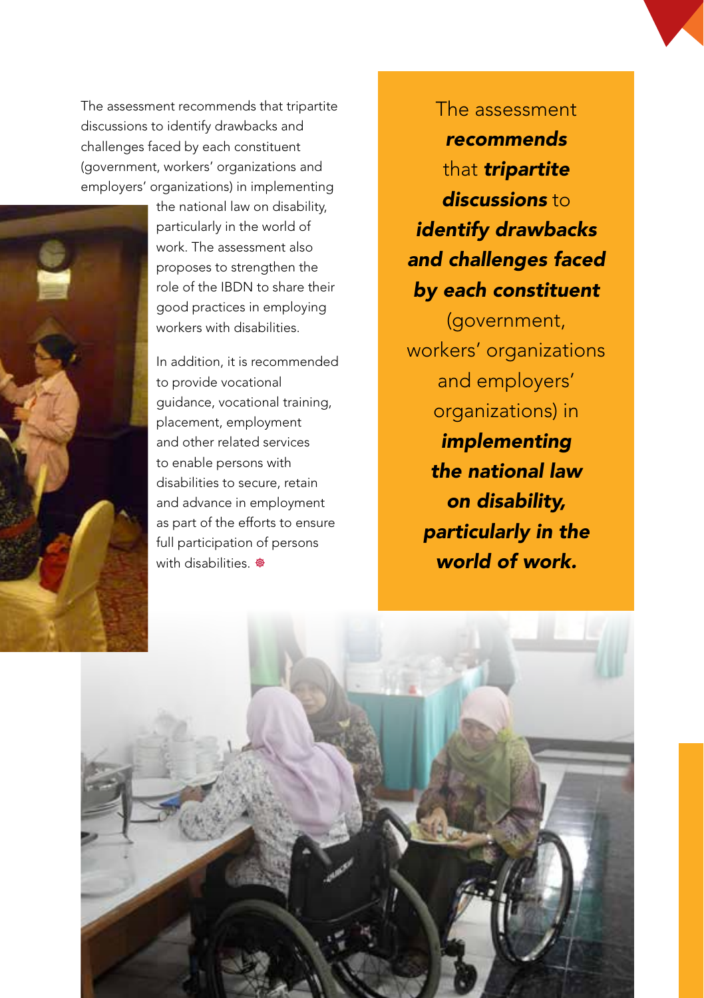The assessment recommends that tripartite discussions to identify drawbacks and challenges faced by each constituent (government, workers' organizations and employers' organizations) in implementing



the national law on disability, particularly in the world of work. The assessment also proposes to strengthen the role of the IBDN to share their good practices in employing workers with disabilities.

In addition, it is recommended to provide vocational guidance, vocational training, placement, employment and other related services to enable persons with disabilities to secure, retain and advance in employment as part of the efforts to ensure full participation of persons with disabilities. <sup>@</sup>

The assessment *recommends* that *tripartite discussions* to *identify drawbacks and challenges faced by each constituent*

(government, workers' organizations and employers' organizations) in *implementing the national law on disability, particularly in the world of work.*